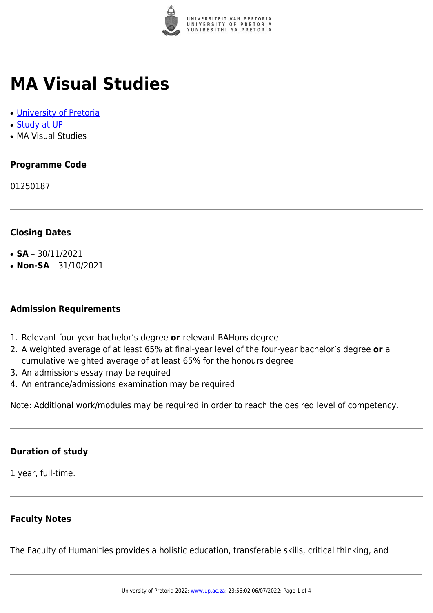

# **MA Visual Studies**

- [University of Pretoria](https://www.up.ac.za/home)
- [Study at UP](https://www.up.ac.za/programmes)
- MA Visual Studies

### **Programme Code**

01250187

#### **Closing Dates**

- **SA**  $30/11/2021$
- $\cdot$  **Non-SA** 31/10/2021

#### **Admission Requirements**

- 1. Relevant four-year bachelor's degree **or** relevant BAHons degree
- 2. A weighted average of at least 65% at final-year level of the four-year bachelor's degree **or** a cumulative weighted average of at least 65% for the honours degree
- 3. An admissions essay may be required
- 4. An entrance/admissions examination may be required

Note: Additional work/modules may be required in order to reach the desired level of competency.

## **Duration of study**

1 year, full-time.

# **Faculty Notes**

The Faculty of Humanities provides a holistic education, transferable skills, critical thinking, and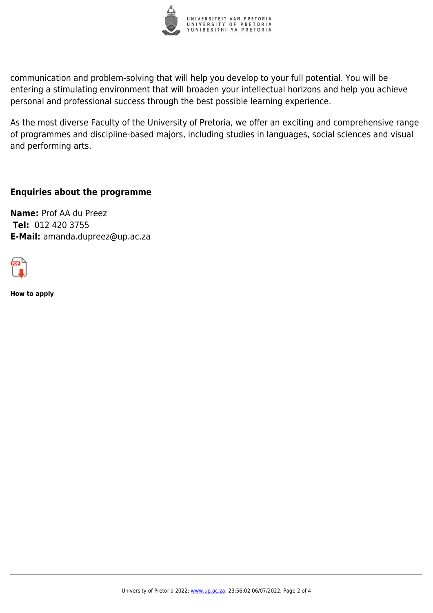

communication and problem-solving that will help you develop to your full potential. You will be entering a stimulating environment that will broaden your intellectual horizons and help you achieve personal and professional success through the best possible learning experience.

As the most diverse Faculty of the University of Pretoria, we offer an exciting and comprehensive range of programmes and discipline-based majors, including studies in languages, social sciences and visual and performing arts.

**Enquiries about the programme**

**Name:** Prof AA du Preez **Tel:** 012 420 3755 **E-Mail:** amanda.dupreez@up.ac.za



**How to apply**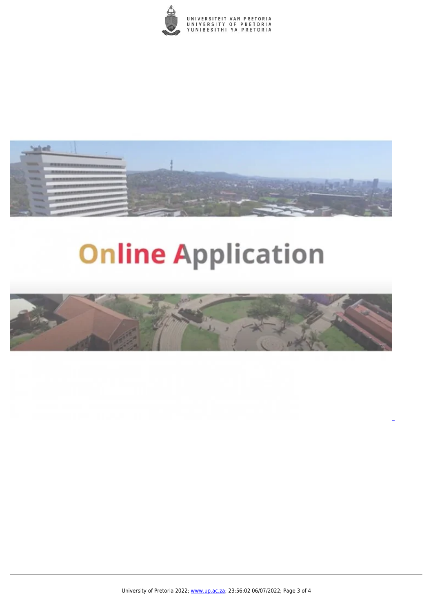



# **Online Application**